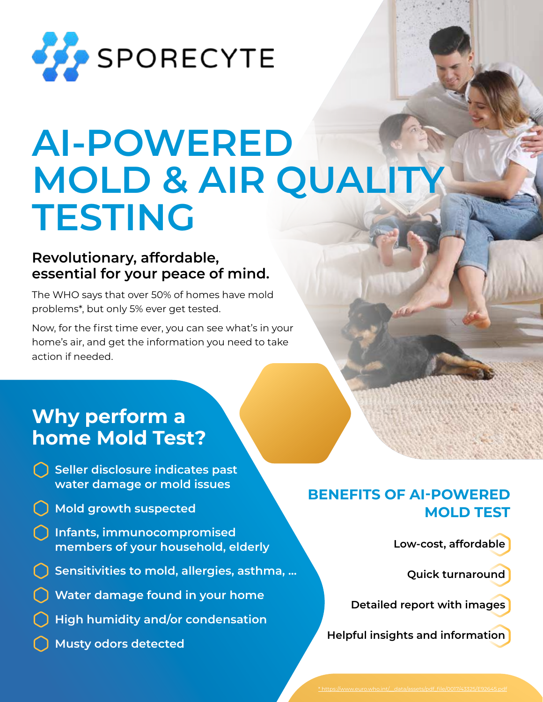

# **AI-POWERED MOLD & AIR QUALITY TESTING**

## **Revolutionary, affordable, essential for your peace of mind.**

The WHO says that over 50% of homes have mold problems\*, but only 5% ever get tested.

Now, for the first time ever, you can see what's in your home's air, and get the information you need to take action if needed.

# **Why perform a home Mold Test?**

- **Seller disclosure indicates past water damage or mold issues**
- **Mold growth suspected**
- **Infants, immunocompromised members of your household, elderly**
- **Sensitivities to mold, allergies, asthma, ...**
- **Water damage found in your home**
- **High humidity and/or condensation**
- **Musty odors detected**

# **BENEFITS OF AI-POWERED MOLD TEST**

**Low-cost, affordable** 

**Quick turnaround**

**Detailed report with images**

**Helpful insights and information**